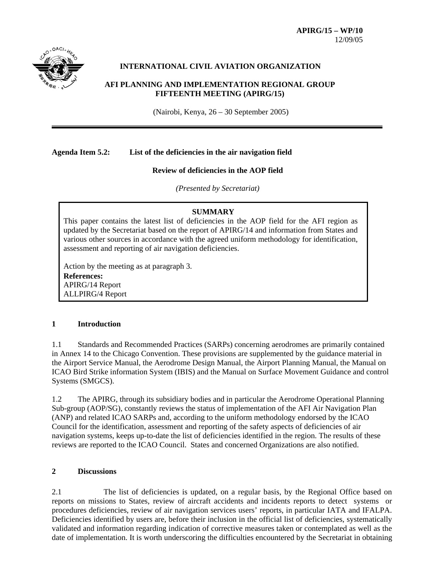

### **INTERNATIONAL CIVIL AVIATION ORGANIZATION**

### **AFI PLANNING AND IMPLEMENTATION REGIONAL GROUP FIFTEENTH MEETING (APIRG/15)**

(Nairobi, Kenya, 26 – 30 September 2005)

### **Agenda Item 5.2: List of the deficiencies in the air navigation field**

### **Review of deficiencies in the AOP field**

*(Presented by Secretariat)*

### **SUMMARY**

This paper contains the latest list of deficiencies in the AOP field for the AFI region as updated by the Secretariat based on the report of APIRG/14 and information from States and various other sources in accordance with the agreed uniform methodology for identification, assessment and reporting of air navigation deficiencies.

Action by the meeting as at paragraph 3. **References:** APIRG/14 Report ALLPIRG/4 Report

### **1 Introduction**

1.1 Standards and Recommended Practices (SARPs) concerning aerodromes are primarily contained in Annex 14 to the Chicago Convention. These provisions are supplemented by the guidance material in the Airport Service Manual, the Aerodrome Design Manual, the Airport Planning Manual, the Manual on ICAO Bird Strike information System (IBIS) and the Manual on Surface Movement Guidance and control Systems (SMGCS).

1.2 The APIRG, through its subsidiary bodies and in particular the Aerodrome Operational Planning Sub-group (AOP/SG), constantly reviews the status of implementation of the AFI Air Navigation Plan (ANP) and related ICAO SARPs and, according to the uniform methodology endorsed by the ICAO Council for the identification, assessment and reporting of the safety aspects of deficiencies of air navigation systems, keeps up-to-date the list of deficiencies identified in the region. The results of these reviews are reported to the ICAO Council. States and concerned Organizations are also notified.

### **2 Discussions**

2.1 The list of deficiencies is updated, on a regular basis, by the Regional Office based on reports on missions to States, review of aircraft accidents and incidents reports to detect systems or procedures deficiencies, review of air navigation services users' reports, in particular IATA and IFALPA. Deficiencies identified by users are, before their inclusion in the official list of deficiencies, systematically validated and information regarding indication of corrective measures taken or contemplated as well as the date of implementation. It is worth underscoring the difficulties encountered by the Secretariat in obtaining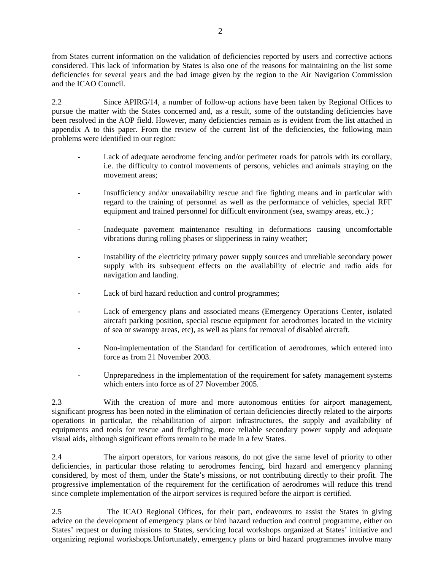from States current information on the validation of deficiencies reported by users and corrective actions considered. This lack of information by States is also one of the reasons for maintaining on the list some deficiencies for several years and the bad image given by the region to the Air Navigation Commission and the ICAO Council.

2.2 Since APIRG/14, a number of follow-up actions have been taken by Regional Offices to pursue the matter with the States concerned and, as a result, some of the outstanding deficiencies have been resolved in the AOP field. However, many deficiencies remain as is evident from the list attached in appendix A to this paper. From the review of the current list of the deficiencies, the following main problems were identified in our region:

- Lack of adequate aerodrome fencing and/or perimeter roads for patrols with its corollary, i.e. the difficulty to control movements of persons, vehicles and animals straying on the movement areas;
- Insufficiency and/or unavailability rescue and fire fighting means and in particular with regard to the training of personnel as well as the performance of vehicles, special RFF equipment and trained personnel for difficult environment (sea, swampy areas, etc.) ;
- Inadequate pavement maintenance resulting in deformations causing uncomfortable vibrations during rolling phases or slipperiness in rainy weather;
- Instability of the electricity primary power supply sources and unreliable secondary power supply with its subsequent effects on the availability of electric and radio aids for navigation and landing.
- Lack of bird hazard reduction and control programmes;
- Lack of emergency plans and associated means (Emergency Operations Center, isolated aircraft parking position, special rescue equipment for aerodromes located in the vicinity of sea or swampy areas, etc), as well as plans for removal of disabled aircraft.
- Non-implementation of the Standard for certification of aerodromes, which entered into force as from 21 November 2003.
- Unpreparedness in the implementation of the requirement for safety management systems which enters into force as of 27 November 2005.

2.3 With the creation of more and more autonomous entities for airport management, significant progress has been noted in the elimination of certain deficiencies directly related to the airports operations in particular, the rehabilitation of airport infrastructures, the supply and availability of equipments and tools for rescue and firefighting, more reliable secondary power supply and adequate visual aids, although significant efforts remain to be made in a few States.

2.4 The airport operators, for various reasons, do not give the same level of priority to other deficiencies, in particular those relating to aerodromes fencing, bird hazard and emergency planning considered, by most of them, under the State's missions, or not contributing directly to their profit. The progressive implementation of the requirement for the certification of aerodromes will reduce this trend since complete implementation of the airport services is required before the airport is certified.

2.5 The ICAO Regional Offices, for their part, endeavours to assist the States in giving advice on the development of emergency plans or bird hazard reduction and control programme, either on States' request or during missions to States, servicing local workshops organized at States' initiative and organizing regional workshops.Unfortunately, emergency plans or bird hazard programmes involve many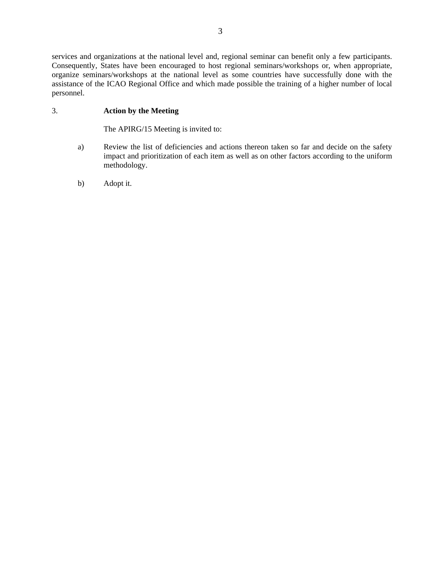services and organizations at the national level and, regional seminar can benefit only a few participants. Consequently, States have been encouraged to host regional seminars/workshops or, when appropriate, organize seminars/workshops at the national level as some countries have successfully done with the assistance of the ICAO Regional Office and which made possible the training of a higher number of local personnel.

### 3. **Action by the Meeting**

The APIRG/15 Meeting is invited to:

- a) Review the list of deficiencies and actions thereon taken so far and decide on the safety impact and prioritization of each item as well as on other factors according to the uniform methodology.
- b) Adopt it.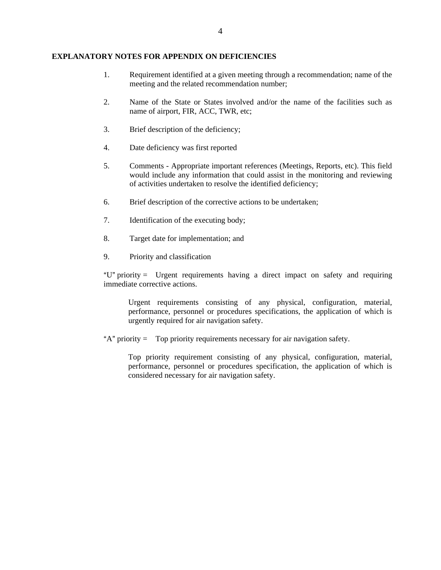### **EXPLANATORY NOTES FOR APPENDIX ON DEFICIENCIES**

- 1. Requirement identified at a given meeting through a recommendation; name of the meeting and the related recommendation number;
- 2. Name of the State or States involved and/or the name of the facilities such as name of airport, FIR, ACC, TWR, etc;
- 3. Brief description of the deficiency;
- 4. Date deficiency was first reported
- 5. Comments Appropriate important references (Meetings, Reports, etc). This field would include any information that could assist in the monitoring and reviewing of activities undertaken to resolve the identified deficiency;
- 6. Brief description of the corrective actions to be undertaken;
- 7. Identification of the executing body;
- 8. Target date for implementation; and
- 9. Priority and classification

" $U$ " priority = Urgent requirements having a direct impact on safety and requiring immediate corrective actions.

Urgent requirements consisting of any physical, configuration, material, performance, personnel or procedures specifications, the application of which is urgently required for air navigation safety.

 $A^*$  priority = Top priority requirements necessary for air navigation safety.

Top priority requirement consisting of any physical, configuration, material, performance, personnel or procedures specification, the application of which is considered necessary for air navigation safety.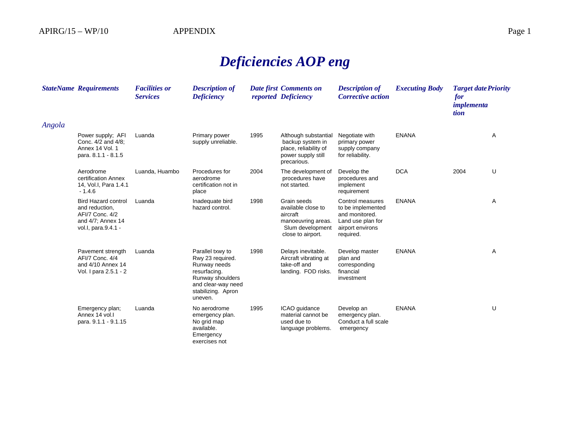# *Deficiencies AOP eng*

|        | <b>StateName Requirements</b>                                                                               | <b>Facilities or</b><br><b>Services</b> | <b>Description of</b><br><b>Deficiency</b>                                                                                                      |      | Date first Comments on<br>reported Deficiency                                                                | <b>Description of</b><br><b>Corrective action</b>                                                             | <b>Executing Body</b> | <b>Target date Priority</b><br>for<br><i>implementa</i><br>tion |   |
|--------|-------------------------------------------------------------------------------------------------------------|-----------------------------------------|-------------------------------------------------------------------------------------------------------------------------------------------------|------|--------------------------------------------------------------------------------------------------------------|---------------------------------------------------------------------------------------------------------------|-----------------------|-----------------------------------------------------------------|---|
| Angola |                                                                                                             |                                         |                                                                                                                                                 |      |                                                                                                              |                                                                                                               |                       |                                                                 |   |
|        | Power supply; AFI<br>Conc. 4/2 and 4/8;<br>Annex 14 Vol. 1<br>para. 8.1.1 - 8.1.5                           | Luanda                                  | Primary power<br>supply unreliable.                                                                                                             | 1995 | Although substantial<br>backup system in<br>place, reliability of<br>power supply still<br>precarious.       | Negotiate with<br>primary power<br>supply company<br>for reliability.                                         | <b>ENANA</b>          |                                                                 | Α |
|        | Aerodrome<br>certification Annex<br>14, Vol.I, Para 1.4.1<br>$-1.4.6$                                       | Luanda, Huambo                          | Procedures for<br>aerodrome<br>certification not in<br>place                                                                                    | 2004 | The development of<br>procedures have<br>not started.                                                        | Develop the<br>procedures and<br>implement<br>requirement                                                     | <b>DCA</b>            | 2004                                                            | U |
|        | <b>Bird Hazard control</b><br>and reduction.<br>AFI/7 Conc. 4/2<br>and 4/7; Annex 14<br>vol.l, para.9.4.1 - | Luanda                                  | Inadequate bird<br>hazard control.                                                                                                              | 1998 | Grain seeds<br>available close to<br>aircraft<br>manoeuvring areas.<br>Slum development<br>close to airport. | Control measures<br>to be implemented<br>and monitored.<br>Land use plan for<br>airport environs<br>required. | <b>ENANA</b>          |                                                                 | A |
|        | Pavement strength<br>AFI/7 Conc. 4/4<br>and 4/10 Annex 14<br>Vol. I para 2.5.1 - 2                          | Luanda                                  | Parallel txwy to<br>Rwy 23 required.<br>Runway needs<br>resurfacing.<br>Runway shoulders<br>and clear-way need<br>stabilizing. Apron<br>uneven. | 1998 | Delays inevitable.<br>Aircraft vibrating at<br>take-off and<br>landing. FOD risks.                           | Develop master<br>plan and<br>corresponding<br>financial<br>investment                                        | <b>ENANA</b>          |                                                                 | Α |
|        | Emergency plan;<br>Annex 14 vol.<br>para. 9.1.1 - 9.1.15                                                    | Luanda                                  | No aerodrome<br>emergency plan.<br>No grid map<br>available.<br>Emergency<br>exercises not                                                      | 1995 | ICAO guidance<br>material cannot be<br>used due to<br>language problems.                                     | Develop an<br>emergency plan.<br>Conduct a full scale<br>emergency                                            | <b>ENANA</b>          |                                                                 | U |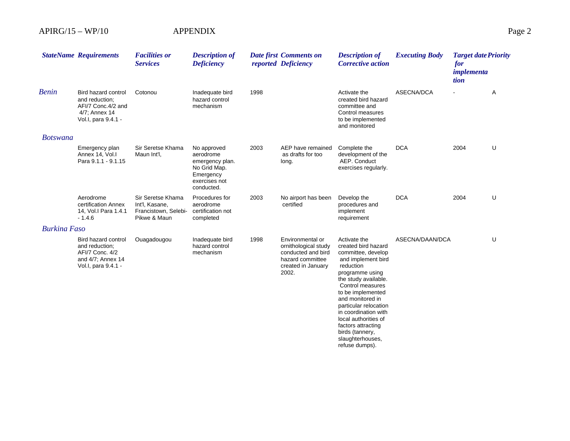|                     | <b>StateName Requirements</b>                                                                        | <b>Facilities or</b><br><b>Services</b>                                     | <b>Description of</b><br><b>Deficiency</b>                                                              |      | <b>Date first Comments on</b><br>reported Deficiency                                                              | <b>Description of</b><br><b>Corrective action</b>                                                                                                                                                                                                                                                                                                            | <b>Executing Body</b> | <b>Target date Priority</b><br>for<br>implementa<br>tion |   |
|---------------------|------------------------------------------------------------------------------------------------------|-----------------------------------------------------------------------------|---------------------------------------------------------------------------------------------------------|------|-------------------------------------------------------------------------------------------------------------------|--------------------------------------------------------------------------------------------------------------------------------------------------------------------------------------------------------------------------------------------------------------------------------------------------------------------------------------------------------------|-----------------------|----------------------------------------------------------|---|
| <b>Benin</b>        | Bird hazard control<br>and reduction:<br>AFI/7 Conc.4/2 and<br>4/7; Annex 14<br>Vol.I, para 9.4.1 -  | Cotonou                                                                     | Inadequate bird<br>hazard control<br>mechanism                                                          | 1998 |                                                                                                                   | Activate the<br>created bird hazard<br>committee and<br>Control measures<br>to be implemented<br>and monitored                                                                                                                                                                                                                                               | ASECNA/DCA            | $\blacksquare$                                           | Α |
| <b>Botswana</b>     |                                                                                                      |                                                                             |                                                                                                         |      |                                                                                                                   |                                                                                                                                                                                                                                                                                                                                                              |                       |                                                          |   |
|                     | Emergency plan<br>Annex 14, Vol.I<br>Para 9.1.1 - 9.1.15                                             | Sir Seretse Khama<br>Maun Int'l,                                            | No approved<br>aerodrome<br>emergency plan.<br>No Grid Map.<br>Emergency<br>exercises not<br>conducted. | 2003 | AEP have remained<br>as drafts for too<br>long.                                                                   | Complete the<br>development of the<br>AEP. Conduct<br>exercises regularly.                                                                                                                                                                                                                                                                                   | <b>DCA</b>            | 2004                                                     | U |
|                     | Aerodrome<br>certification Annex<br>14, Vol.I Para 1.4.1<br>$-1.4.6$                                 | Sir Seretse Khama<br>Int'l, Kasane,<br>Francistown, Selebi-<br>Pikwe & Maun | Procedures for<br>aerodrome<br>certification not<br>completed                                           | 2003 | No airport has been<br>certified                                                                                  | Develop the<br>procedures and<br>implement<br>requirement                                                                                                                                                                                                                                                                                                    | <b>DCA</b>            | 2004                                                     | U |
| <b>Burkina Faso</b> |                                                                                                      |                                                                             |                                                                                                         |      |                                                                                                                   |                                                                                                                                                                                                                                                                                                                                                              |                       |                                                          |   |
|                     | Bird hazard control<br>and reduction;<br>AFI/7 Conc. 4/2<br>and 4/7; Annex 14<br>Vol.I, para 9.4.1 - | Ouagadougou                                                                 | Inadequate bird<br>hazard control<br>mechanism                                                          | 1998 | Environmental or<br>ornithological study<br>conducted and bird<br>hazard committee<br>created in January<br>2002. | Activate the<br>created bird hazard<br>committee, develop<br>and implement bird<br>reduction<br>programme using<br>the study available.<br>Control measures<br>to be implemented<br>and monitored in<br>particular relocation<br>in coordination with<br>local authorities of<br>factors attracting<br>birds (tannery,<br>slaughterhouses,<br>refuse dumps). | ASECNA/DAAN/DCA       |                                                          | U |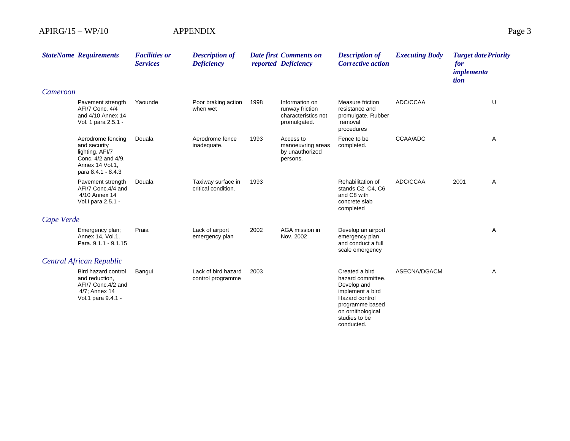|            | <b>StateName Requirements</b>                                                                                       | <b>Facilities or</b><br><b>Services</b> | <b>Description of</b><br><b>Deficiency</b> |      | <b>Date first Comments on</b><br>reported Deficiency                     | <b>Description of</b><br><b>Corrective action</b>                                                                                                               | <b>Executing Body</b> | <b>Target date Priority</b><br>for<br>implementa<br>tion |   |
|------------|---------------------------------------------------------------------------------------------------------------------|-----------------------------------------|--------------------------------------------|------|--------------------------------------------------------------------------|-----------------------------------------------------------------------------------------------------------------------------------------------------------------|-----------------------|----------------------------------------------------------|---|
| Cameroon   |                                                                                                                     |                                         |                                            |      |                                                                          |                                                                                                                                                                 |                       |                                                          |   |
|            | Pavement strength<br>AFI/7 Conc. 4/4<br>and 4/10 Annex 14<br>Vol. 1 para 2.5.1 -                                    | Yaounde                                 | Poor braking action<br>when wet            | 1998 | Information on<br>runway friction<br>characteristics not<br>promulgated. | Measure friction<br>resistance and<br>promulgate. Rubber<br>removal<br>procedures                                                                               | ADC/CCAA              |                                                          | U |
|            | Aerodrome fencing<br>and security<br>lighting, AFI/7<br>Conc. 4/2 and 4/9,<br>Annex 14 Vol.1,<br>para 8.4.1 - 8.4.3 | Douala                                  | Aerodrome fence<br>inadequate.             | 1993 | Access to<br>manoeuvring areas<br>by unauthorized<br>persons.            | Fence to be<br>completed.                                                                                                                                       | CCAA/ADC              |                                                          | Α |
|            | Pavement strength<br>AFI/7 Conc.4/4 and<br>4/10 Annex 14<br>Vol. I para 2.5.1 -                                     | Douala                                  | Taxiway surface in<br>critical condition.  | 1993 |                                                                          | Rehabilitation of<br>stands C2, C4, C6<br>and C8 with<br>concrete slab<br>completed                                                                             | ADC/CCAA              | 2001                                                     | A |
| Cape Verde |                                                                                                                     |                                         |                                            |      |                                                                          |                                                                                                                                                                 |                       |                                                          |   |
|            | Emergency plan;<br>Annex 14, Vol.1,<br>Para, 9.1.1 - 9.1.15                                                         | Praia                                   | Lack of airport<br>emergency plan          | 2002 | AGA mission in<br>Nov. 2002                                              | Develop an airport<br>emergency plan<br>and conduct a full<br>scale emergency                                                                                   |                       |                                                          | Α |
|            | <b>Central African Republic</b>                                                                                     |                                         |                                            |      |                                                                          |                                                                                                                                                                 |                       |                                                          |   |
|            | Bird hazard control<br>and reduction,<br>AFI/7 Conc.4/2 and<br>4/7; Annex 14<br>Vol.1 para 9.4.1 -                  | Bangui                                  | Lack of bird hazard<br>control programme   | 2003 |                                                                          | Created a bird<br>hazard committee.<br>Develop and<br>implement a bird<br>Hazard control<br>programme based<br>on ornithological<br>studies to be<br>conducted. | ASECNA/DGACM          |                                                          | Α |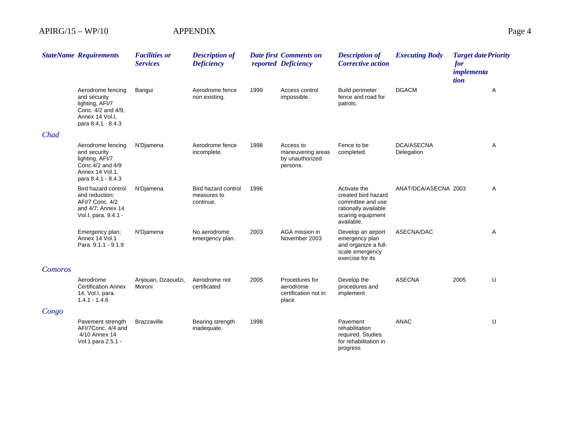|         | <b>StateName Requirements</b>                                                                                       | <b>Facilities or</b><br><b>Services</b> | <b>Description of</b><br><b>Deficiency</b>             |      | <b>Date first Comments on</b><br>reported Deficiency          | <b>Description of</b><br><b>Corrective action</b>                                                                   | <b>Executing Body</b>           | <b>Target date Priority</b><br>for<br>implementa<br>tion |   |
|---------|---------------------------------------------------------------------------------------------------------------------|-----------------------------------------|--------------------------------------------------------|------|---------------------------------------------------------------|---------------------------------------------------------------------------------------------------------------------|---------------------------------|----------------------------------------------------------|---|
|         | Aerodrome fencing<br>and security<br>lighting, AFI/7<br>Conc. 4/2 and 4/9,<br>Annex 14 Vol.I.<br>para 8.4.1 - 8.4.3 | Bangui                                  | Aerodrome fence<br>non existing.                       | 1999 | Access control<br>impossible.                                 | <b>Build perimeter</b><br>fence and road for<br>patrols.                                                            | <b>DGACM</b>                    |                                                          | Α |
| Chad    |                                                                                                                     |                                         |                                                        |      |                                                               |                                                                                                                     |                                 |                                                          |   |
|         | Aerodrome fencing<br>and security<br>lighting, AFI/7<br>Conc. 4/2 and 4/9<br>Annex 14 Vol.1.<br>para 8.4.1 - 8.4.3  | N'Djamena                               | Aerodrome fence<br>incomplete.                         | 1998 | Access to<br>maneuvering areas<br>by unauthorized<br>persons. | Fence to be<br>completed.                                                                                           | <b>DCA/ASECNA</b><br>Delegation |                                                          | A |
|         | Bird hazard control<br>and reduction:<br>AFI/7 Conc. 4/2<br>and 4/7; Annex 14<br>Vol.I, para. 9.4.1 -               | N'Djamena                               | <b>Bird hazard control</b><br>measures to<br>continue. | 1996 |                                                               | Activate the<br>created bird hazard<br>committee and use<br>rationally available<br>scaring equipment<br>available. | ANAT/DCA/ASECNA 2003            |                                                          | Α |
|         | Emergency plan;<br>Annex 14 Vol.1<br>Para, 9.1.1 - 9.1.9                                                            | N'Djamena                               | No aerodrome<br>emergency plan.                        | 2003 | AGA mission in<br>November 2003                               | Develop an airport<br>emergency plan<br>and organize a full-<br>scale emergency<br>exercise for its                 | ASECNA/DAC                      |                                                          | Α |
| Comoros |                                                                                                                     |                                         |                                                        |      |                                                               |                                                                                                                     |                                 |                                                          |   |
|         | Aerodrome<br><b>Certification Annex</b><br>14, Vol.I, para.<br>$1.4.1 - 1.4.6$                                      | Anjouan, Dzaoudzi,<br>Moroni            | Aerodrome not<br>certificated                          | 2005 | Procedures for<br>aerodrome<br>certification not in<br>place  | Develop the<br>procedures and<br>implement                                                                          | <b>ASECNA</b>                   | 2005                                                     | U |
| Congo   |                                                                                                                     |                                         |                                                        |      |                                                               |                                                                                                                     |                                 |                                                          |   |
|         | Pavement strength<br>AFI/7Conc. 4/4 and<br>4/10 Annex 14<br>Vol.1 para 2.5.1 -                                      | <b>Brazzaville</b>                      | Bearing strength<br>inadequate.                        | 1998 |                                                               | Pavement<br>rehabilitation<br>required. Studies<br>for rehabilitation in<br>progress                                | <b>ANAC</b>                     |                                                          | U |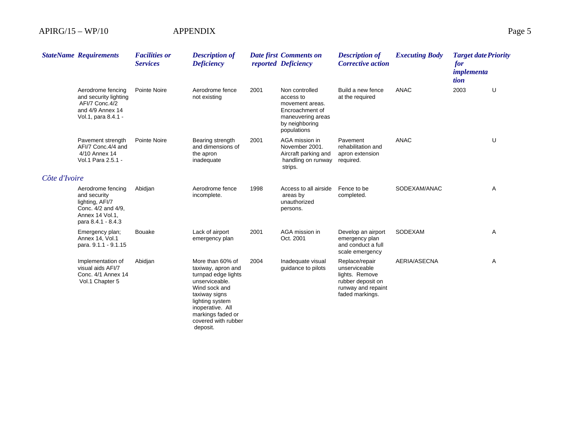|               | <b>StateName Requirements</b>                                                                                       | <b>Facilities or</b><br><b>Services</b> | <b>Description of</b><br><b>Deficiency</b>                                                                                                                                                                       |      | Date first Comments on<br>reported Deficiency                                                                           | <b>Description of</b><br><b>Corrective action</b>                                                               | <b>Executing Body</b> | <b>Target date Priority</b><br>for<br><i>implementa</i><br>tion |   |
|---------------|---------------------------------------------------------------------------------------------------------------------|-----------------------------------------|------------------------------------------------------------------------------------------------------------------------------------------------------------------------------------------------------------------|------|-------------------------------------------------------------------------------------------------------------------------|-----------------------------------------------------------------------------------------------------------------|-----------------------|-----------------------------------------------------------------|---|
|               | Aerodrome fencing<br>and security lighting<br>AFI/7 Conc.4/2<br>and 4/9 Annex 14<br>Vol.1, para 8.4.1 -             | Pointe Noire                            | Aerodrome fence<br>not existing                                                                                                                                                                                  | 2001 | Non controlled<br>access to<br>movement areas.<br>Encroachment of<br>maneuvering areas<br>by neighboring<br>populations | Build a new fence<br>at the required                                                                            | <b>ANAC</b>           | 2003                                                            | U |
|               | Pavement strength<br>AFI/7 Conc.4/4 and<br>4/10 Annex 14<br>Vol.1 Para 2.5.1 -                                      | Pointe Noire                            | Bearing strength<br>and dimensions of<br>the apron<br>inadequate                                                                                                                                                 | 2001 | AGA mission in<br>November 2001.<br>Aircraft parking and<br>handling on runway<br>strips.                               | Pavement<br>rehabilitation and<br>apron extension<br>required.                                                  | <b>ANAC</b>           |                                                                 | U |
| Côte d'Ivoire |                                                                                                                     |                                         |                                                                                                                                                                                                                  |      |                                                                                                                         |                                                                                                                 |                       |                                                                 |   |
|               | Aerodrome fencing<br>and security<br>lighting, AFI/7<br>Conc. 4/2 and 4/9,<br>Annex 14 Vol.1,<br>para 8.4.1 - 8.4.3 | Abidjan                                 | Aerodrome fence<br>incomplete.                                                                                                                                                                                   | 1998 | Access to all airside<br>areas by<br>unauthorized<br>persons.                                                           | Fence to be<br>completed.                                                                                       | SODEXAM/ANAC          |                                                                 | A |
|               | Emergency plan;<br>Annex 14, Vol.1<br>para. 9.1.1 - 9.1.15                                                          | <b>Bouake</b>                           | Lack of airport<br>emergency plan                                                                                                                                                                                | 2001 | AGA mission in<br>Oct. 2001                                                                                             | Develop an airport<br>emergency plan<br>and conduct a full<br>scale emergency                                   | <b>SODEXAM</b>        |                                                                 | Α |
|               | Implementation of<br>visual aids AFI/7<br>Conc. 4/1 Annex 14<br>Vol.1 Chapter 5                                     | Abidjan                                 | More than 60% of<br>taxiway, apron and<br>turnpad edge lights<br>unserviceable.<br>Wind sock and<br>taxiway signs<br>lighting system<br>inoperative. All<br>markings faded or<br>covered with rubber<br>deposit. | 2004 | Inadequate visual<br>guidance to pilots                                                                                 | Replace/repair<br>unserviceable<br>lights. Remove<br>rubber deposit on<br>runway and repaint<br>faded markings. | AERIA/ASECNA          |                                                                 | Α |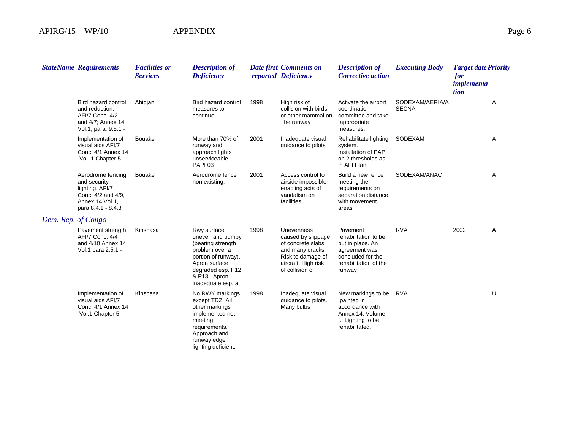|                    | <b>StateName Requirements</b>                                                                                       | <b>Facilities or</b><br><b>Services</b> | <b>Description of</b><br><b>Deficiency</b>                                                                                                                                |      | <b>Date first Comments on</b><br>reported Deficiency                                                                                            | <b>Description of</b><br><b>Corrective action</b>                                                                             | <b>Executing Body</b>           | <b>Target date Priority</b><br>for<br>implementa<br>tion |   |
|--------------------|---------------------------------------------------------------------------------------------------------------------|-----------------------------------------|---------------------------------------------------------------------------------------------------------------------------------------------------------------------------|------|-------------------------------------------------------------------------------------------------------------------------------------------------|-------------------------------------------------------------------------------------------------------------------------------|---------------------------------|----------------------------------------------------------|---|
|                    | Bird hazard control<br>and reduction:<br>AFI/7 Conc. 4/2<br>and 4/7; Annex 14<br>Vol.1, para. 9.5.1 -               | Abidjan                                 | Bird hazard control<br>measures to<br>continue.                                                                                                                           | 1998 | High risk of<br>collision with birds<br>or other mammal on<br>the runway                                                                        | Activate the airport<br>coordination<br>committee and take<br>appropriate<br>measures.                                        | SODEXAM/AERIA/A<br><b>SECNA</b> |                                                          | Α |
|                    | Implementation of<br>visual aids AFI/7<br>Conc. 4/1 Annex 14<br>Vol. 1 Chapter 5                                    | <b>Bouake</b>                           | More than 70% of<br>runway and<br>approach lights<br>unserviceable.<br><b>PAPI 03</b>                                                                                     | 2001 | Inadequate visual<br>guidance to pilots                                                                                                         | Rehabilitate lighting<br>system.<br>Installation of PAPI<br>on 2 thresholds as<br>in AFI Plan                                 | SODEXAM                         |                                                          | Α |
|                    | Aerodrome fencing<br>and security<br>lighting, AFI/7<br>Conc. 4/2 and 4/9,<br>Annex 14 Vol.1,<br>para 8.4.1 - 8.4.3 | <b>Bouake</b>                           | Aerodrome fence<br>non existing.                                                                                                                                          | 2001 | Access control to<br>airside impossible<br>enabling acts of<br>vandalism on<br>facilities                                                       | Build a new fence<br>meeting the<br>requirements on<br>separation distance<br>with movement<br>areas                          | SODEXAM/ANAC                    |                                                          | Α |
| Dem. Rep. of Congo |                                                                                                                     |                                         |                                                                                                                                                                           |      |                                                                                                                                                 |                                                                                                                               |                                 |                                                          |   |
|                    | Pavement strength<br>AFI/7 Conc. 4/4<br>and 4/10 Annex 14<br>Vol.1 para 2.5.1 -                                     | Kinshasa                                | Rwy surface<br>uneven and bumpy<br>(bearing strength<br>problem over a<br>portion of runway).<br>Apron surface<br>degraded esp. P12<br>& P13. Apron<br>inadequate esp. at | 1998 | <b>Unevenness</b><br>caused by slippage<br>of concrete slabs<br>and many cracks.<br>Risk to damage of<br>aircraft. High risk<br>of collision of | Pavement<br>rehabilitation to be<br>put in place. An<br>agreement was<br>concluded for the<br>rehabilitation of the<br>runway | <b>RVA</b>                      | 2002                                                     | Α |
|                    | Implementation of<br>visual aids AFI/7<br>Conc. 4/1 Annex 14<br>Vol.1 Chapter 5                                     | Kinshasa                                | No RWY markings<br>except TDZ. All<br>other markings<br>implemented not<br>meeting<br>requirements.<br>Approach and<br>runway edge<br>lighting deficient.                 | 1998 | Inadequate visual<br>guidance to pilots.<br>Many bulbs                                                                                          | New markings to be<br>painted in<br>accordance with<br>Annex 14, Volume<br>I. Lighting to be<br>rehabilitated.                | RVA                             |                                                          | U |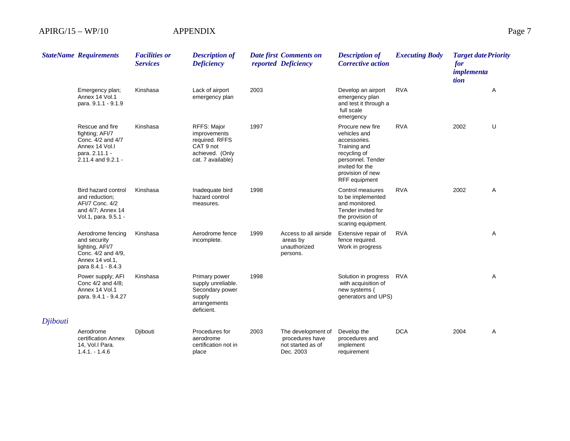|          | <b>StateName Requirements</b>                                                                                       | <b>Facilities or</b><br><b>Services</b> | <b>Description of</b><br><b>Deficiency</b>                                                         |      | Date first Comments on<br>reported Deficiency                           | <b>Description of</b><br><b>Corrective action</b>                                                                                                             | <b>Executing Body</b> | <b>Target date Priority</b><br>for<br>implementa<br>tion |                |
|----------|---------------------------------------------------------------------------------------------------------------------|-----------------------------------------|----------------------------------------------------------------------------------------------------|------|-------------------------------------------------------------------------|---------------------------------------------------------------------------------------------------------------------------------------------------------------|-----------------------|----------------------------------------------------------|----------------|
|          | Emergency plan;<br>Annex 14 Vol.1<br>para. 9.1.1 - 9.1.9                                                            | Kinshasa                                | Lack of airport<br>emergency plan                                                                  | 2003 |                                                                         | Develop an airport<br>emergency plan<br>and test it through a<br>full scale<br>emergency                                                                      | <b>RVA</b>            |                                                          | Α              |
|          | Rescue and fire<br>fighting; AFI/7<br>Conc. 4/2 and 4/7<br>Annex 14 Vol.I<br>para. 2.11.1 -<br>2.11.4 and 9.2.1 -   | Kinshasa                                | RFFS: Major<br>improvements<br>required. RFFS<br>CAT 9 not<br>achieved. (Only<br>cat. 7 available) | 1997 |                                                                         | Procure new fire<br>vehicles and<br>accessories.<br>Training and<br>recycling of<br>personnel. Tender<br>invited for the<br>provision of new<br>RFF equipment | <b>RVA</b>            | 2002                                                     | U              |
|          | Bird hazard control<br>and reduction;<br>AFI/7 Conc. 4/2<br>and 4/7; Annex 14<br>Vol.1, para. 9.5.1 -               | Kinshasa                                | Inadequate bird<br>hazard control<br>measures.                                                     | 1998 |                                                                         | Control measures<br>to be implemented<br>and monitored.<br>Tender invited for<br>the provision of<br>scaring equipment.                                       | <b>RVA</b>            | 2002                                                     | A              |
|          | Aerodrome fencing<br>and security<br>lighting, AFI/7<br>Conc. 4/2 and 4/9,<br>Annex 14 vol.1,<br>para 8.4.1 - 8.4.3 | Kinshasa                                | Aerodrome fence<br>incomplete.                                                                     | 1999 | Access to all airside<br>areas by<br>unauthorized<br>persons.           | Extensive repair of<br>fence required.<br>Work in progress                                                                                                    | <b>RVA</b>            |                                                          | Α              |
|          | Power supply; AFI<br>Conc 4/2 and 4/8;<br>Annex 14 Vol.1<br>para. 9.4.1 - 9.4.27                                    | Kinshasa                                | Primary power<br>supply unreliable.<br>Secondary power<br>supply<br>arrangements<br>deficient.     | 1998 |                                                                         | Solution in progress<br>with acquisition of<br>new systems (<br>generators and UPS)                                                                           | <b>RVA</b>            |                                                          | $\overline{A}$ |
| Djibouti |                                                                                                                     |                                         |                                                                                                    |      |                                                                         |                                                                                                                                                               |                       |                                                          |                |
|          | Aerodrome<br>certification Annex<br>14, Vol.I Para.<br>$1.4.1 - 1.4.6$                                              | Djibouti                                | Procedures for<br>aerodrome<br>certification not in<br>place                                       | 2003 | The development of<br>procedures have<br>not started as of<br>Dec. 2003 | Develop the<br>procedures and<br>implement<br>requirement                                                                                                     | <b>DCA</b>            | 2004                                                     | Α              |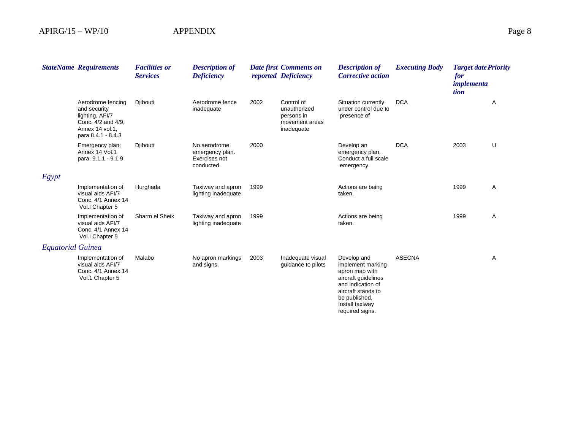|                          | <b>StateName Requirements</b>                                                                                       | <b>Facilities or</b><br><b>Services</b> | <b>Description of</b><br><b>Deficiency</b>                     |      | <b>Date first Comments on</b><br>reported Deficiency                     | <b>Description of</b><br><b>Corrective action</b>                                                                                     | <b>Executing Body</b> | <b>Target date Priority</b><br>for<br><i>implementa</i><br>tion |   |
|--------------------------|---------------------------------------------------------------------------------------------------------------------|-----------------------------------------|----------------------------------------------------------------|------|--------------------------------------------------------------------------|---------------------------------------------------------------------------------------------------------------------------------------|-----------------------|-----------------------------------------------------------------|---|
|                          | Aerodrome fencing<br>and security<br>lighting, AFI/7<br>Conc. 4/2 and 4/9.<br>Annex 14 vol.1.<br>para 8.4.1 - 8.4.3 | Djibouti                                | Aerodrome fence<br>inadequate                                  | 2002 | Control of<br>unauthorized<br>persons in<br>movement areas<br>inadequate | Situation currently<br>under control due to<br>presence of                                                                            | <b>DCA</b>            |                                                                 | A |
|                          | Emergency plan;<br>Annex 14 Vol.1<br>para. 9.1.1 - 9.1.9                                                            | Djibouti                                | No aerodrome<br>emergency plan.<br>Exercises not<br>conducted. | 2000 |                                                                          | Develop an<br>emergency plan.<br>Conduct a full scale<br>emergency                                                                    | <b>DCA</b>            | 2003                                                            | U |
| Egypt                    |                                                                                                                     |                                         |                                                                |      |                                                                          |                                                                                                                                       |                       |                                                                 |   |
|                          | Implementation of<br>visual aids AFI/7<br>Conc. 4/1 Annex 14<br>Vol.I Chapter 5                                     | Hurghada                                | Taxiway and apron<br>lighting inadequate                       | 1999 |                                                                          | Actions are being<br>taken.                                                                                                           |                       | 1999                                                            | Α |
|                          | Implementation of<br>visual aids AFI/7<br>Conc. 4/1 Annex 14<br>Vol.I Chapter 5                                     | Sharm el Sheik                          | Taxiway and apron<br>lighting inadequate                       | 1999 |                                                                          | Actions are being<br>taken.                                                                                                           |                       | 1999                                                            | A |
| <b>Equatorial Guinea</b> |                                                                                                                     |                                         |                                                                |      |                                                                          |                                                                                                                                       |                       |                                                                 |   |
|                          | Implementation of<br>visual aids AFI/7<br>Conc. 4/1 Annex 14<br>Vol.1 Chapter 5                                     | Malabo                                  | No apron markings<br>and signs.                                | 2003 | Inadequate visual<br>quidance to pilots                                  | Develop and<br>implement marking<br>apron map with<br>aircraft guidelines<br>and indication of<br>aircraft stands to<br>be published. | <b>ASECNA</b>         |                                                                 | A |

Install taxiway required signs.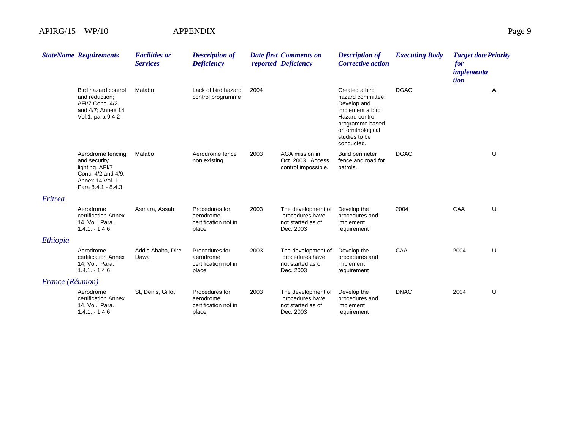|                  | <b>StateName Requirements</b>                                                                                        | <b>Facilities or</b><br><b>Services</b> | <b>Description of</b><br><b>Deficiency</b>                   |      | Date first Comments on<br>reported Deficiency                           | <b>Description of</b><br><b>Corrective action</b>                                                                                                               | <b>Executing Body</b> | <b>Target date Priority</b><br>for<br><i>implementa</i><br>tion |   |
|------------------|----------------------------------------------------------------------------------------------------------------------|-----------------------------------------|--------------------------------------------------------------|------|-------------------------------------------------------------------------|-----------------------------------------------------------------------------------------------------------------------------------------------------------------|-----------------------|-----------------------------------------------------------------|---|
|                  | Bird hazard control<br>and reduction:<br>AFI/7 Conc. 4/2<br>and 4/7; Annex 14<br>Vol.1, para 9.4.2 -                 | Malabo                                  | Lack of bird hazard<br>control programme                     | 2004 |                                                                         | Created a bird<br>hazard committee.<br>Develop and<br>implement a bird<br>Hazard control<br>programme based<br>on ornithological<br>studies to be<br>conducted. | <b>DGAC</b>           |                                                                 | Α |
|                  | Aerodrome fencing<br>and security<br>lighting, AFI/7<br>Conc. 4/2 and 4/9,<br>Annex 14 Vol. 1,<br>Para 8.4.1 - 8.4.3 | Malabo                                  | Aerodrome fence<br>non existing.                             | 2003 | AGA mission in<br>Oct. 2003. Access<br>control impossible.              | <b>Build perimeter</b><br>fence and road for<br>patrols.                                                                                                        | <b>DGAC</b>           |                                                                 | U |
| Eritrea          |                                                                                                                      |                                         |                                                              |      |                                                                         |                                                                                                                                                                 |                       |                                                                 |   |
|                  | Aerodrome<br>certification Annex<br>14, Vol.I Para.<br>$1.4.1 - 1.4.6$                                               | Asmara, Assab                           | Procedures for<br>aerodrome<br>certification not in<br>place | 2003 | The development of<br>procedures have<br>not started as of<br>Dec. 2003 | Develop the<br>procedures and<br>implement<br>requirement                                                                                                       | 2004                  | CAA                                                             | U |
| Ethiopia         |                                                                                                                      |                                         |                                                              |      |                                                                         |                                                                                                                                                                 |                       |                                                                 |   |
|                  | Aerodrome<br>certification Annex<br>14, Vol.I Para.<br>$1.4.1 - 1.4.6$                                               | Addis Ababa, Dire<br>Dawa               | Procedures for<br>aerodrome<br>certification not in<br>place | 2003 | The development of<br>procedures have<br>not started as of<br>Dec. 2003 | Develop the<br>procedures and<br>implement<br>requirement                                                                                                       | CAA                   | 2004                                                            | U |
| France (Réunion) |                                                                                                                      |                                         |                                                              |      |                                                                         |                                                                                                                                                                 |                       |                                                                 |   |
|                  | Aerodrome<br>certification Annex<br>14, Vol.I Para.<br>$1.4.1 - 1.4.6$                                               | St, Denis, Gillot                       | Procedures for<br>aerodrome<br>certification not in<br>place | 2003 | The development of<br>procedures have<br>not started as of<br>Dec. 2003 | Develop the<br>procedures and<br>implement<br>requirement                                                                                                       | <b>DNAC</b>           | 2004                                                            | U |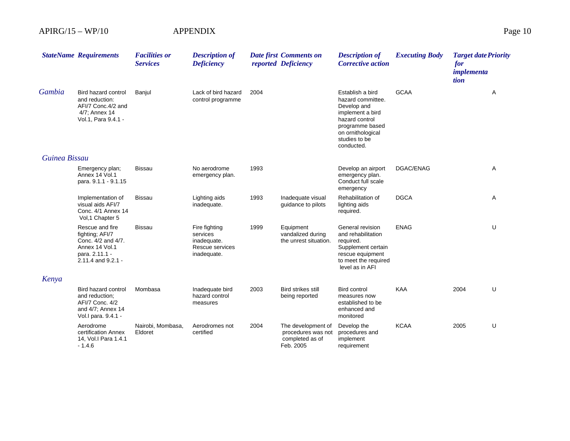|               | <b>StateName Requirements</b>                                                                                      | <b>Facilities or</b><br><b>Services</b> | <b>Description of</b><br><b>Deficiency</b>                                 |      | Date first Comments on<br>reported Deficiency                            | <b>Description of</b><br><b>Corrective action</b>                                                                                                                 | <b>Executing Body</b> | <b>Target date Priority</b><br>for<br>implementa<br>tion |   |
|---------------|--------------------------------------------------------------------------------------------------------------------|-----------------------------------------|----------------------------------------------------------------------------|------|--------------------------------------------------------------------------|-------------------------------------------------------------------------------------------------------------------------------------------------------------------|-----------------------|----------------------------------------------------------|---|
| Gambia        | Bird hazard control<br>and reduction:<br>AFI/7 Conc.4/2 and<br>4/7; Annex 14<br>Vol.1, Para 9.4.1 -                | Banjul                                  | Lack of bird hazard<br>control programme                                   | 2004 |                                                                          | Establish a bird<br>hazard committee.<br>Develop and<br>implement a bird<br>hazard control<br>programme based<br>on ornithological<br>studies to be<br>conducted. | <b>GCAA</b>           |                                                          | Α |
| Guinea Bissau |                                                                                                                    |                                         |                                                                            |      |                                                                          |                                                                                                                                                                   |                       |                                                          |   |
|               | Emergency plan;<br>Annex 14 Vol.1<br>para. 9.1.1 - 9.1.15                                                          | Bissau                                  | No aerodrome<br>emergency plan.                                            | 1993 |                                                                          | Develop an airport<br>emergency plan.<br>Conduct full scale<br>emergency                                                                                          | DGAC/ENAG             |                                                          | A |
|               | Implementation of<br>visual aids AFI/7<br>Conc. 4/1 Annex 14<br>Vol, 1 Chapter 5                                   | <b>Bissau</b>                           | Lighting aids<br>inadequate.                                               | 1993 | Inadequate visual<br>guidance to pilots                                  | Rehabilitation of<br>lighting aids<br>required.                                                                                                                   | <b>DGCA</b>           |                                                          | A |
|               | Rescue and fire<br>fighting; AFI/7<br>Conc. 4/2 and 4/7.<br>Annex 14 Vol.1<br>para. 2.11.1 -<br>2.11.4 and 9.2.1 - | <b>Bissau</b>                           | Fire fighting<br>services<br>inadequate.<br>Rescue services<br>inadequate. | 1999 | Equipment<br>vandalized during<br>the unrest situation.                  | General revision<br>and rehabilitation<br>required.<br>Supplement certain<br>rescue equipment<br>to meet the required<br>level as in AFI                          | <b>ENAG</b>           |                                                          | U |
| Kenya         |                                                                                                                    |                                         |                                                                            |      |                                                                          |                                                                                                                                                                   |                       |                                                          |   |
|               | Bird hazard control<br>and reduction;<br>AFI/7 Conc. 4/2<br>and 4/7; Annex 14<br>Vol. I para. 9.4.1 -              | Mombasa                                 | Inadequate bird<br>hazard control<br>measures                              | 2003 | <b>Bird strikes still</b><br>being reported                              | <b>Bird control</b><br>measures now<br>established to be<br>enhanced and<br>monitored                                                                             | <b>KAA</b>            | 2004                                                     | U |
|               | Aerodrome<br>certification Annex<br>14, Vol. I Para 1.4.1<br>$-1.4.6$                                              | Nairobi, Mombasa,<br>Eldoret            | Aerodromes not<br>certified                                                | 2004 | The development of<br>procedures was not<br>completed as of<br>Feb. 2005 | Develop the<br>procedures and<br>implement<br>requirement                                                                                                         | <b>KCAA</b>           | 2005                                                     | U |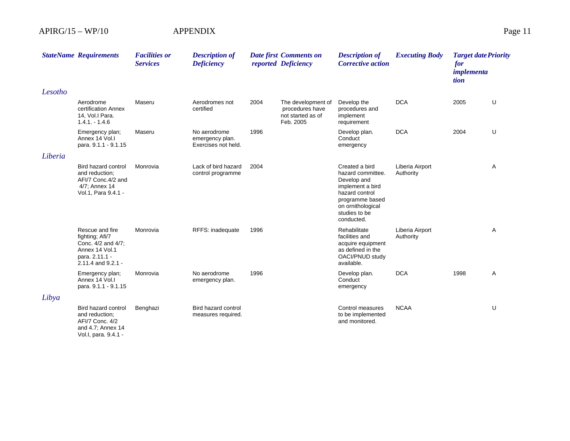|         | <b>StateName Requirements</b>                                                                                      | <b>Facilities or</b><br><b>Services</b> | <b>Description of</b><br><b>Deficiency</b>             |      | <b>Date first Comments on</b><br>reported Deficiency                    | <b>Description of</b><br><b>Corrective action</b>                                                                                                               | <b>Executing Body</b>        | <b>Target date Priority</b><br>for<br>implementa<br>tion |   |
|---------|--------------------------------------------------------------------------------------------------------------------|-----------------------------------------|--------------------------------------------------------|------|-------------------------------------------------------------------------|-----------------------------------------------------------------------------------------------------------------------------------------------------------------|------------------------------|----------------------------------------------------------|---|
| Lesotho |                                                                                                                    |                                         |                                                        |      |                                                                         |                                                                                                                                                                 |                              |                                                          |   |
|         | Aerodrome<br>certification Annex<br>14, Vol.I Para.<br>$1.4.1 - 1.4.6$                                             | Maseru                                  | Aerodromes not<br>certified                            | 2004 | The development of<br>procedures have<br>not started as of<br>Feb. 2005 | Develop the<br>procedures and<br>implement<br>requirement                                                                                                       | <b>DCA</b>                   | 2005                                                     | U |
|         | Emergency plan;<br>Annex 14 Vol.<br>para. 9.1.1 - 9.1.15                                                           | Maseru                                  | No aerodrome<br>emergency plan.<br>Exercises not held. | 1996 |                                                                         | Develop plan.<br>Conduct<br>emergency                                                                                                                           | <b>DCA</b>                   | 2004                                                     | U |
| Liberia |                                                                                                                    |                                         |                                                        |      |                                                                         |                                                                                                                                                                 |                              |                                                          |   |
|         | Bird hazard control<br>and reduction:<br>AFI/7 Conc.4/2 and<br>4/7; Annex 14<br>Vol.1, Para 9.4.1 -                | Monrovia                                | Lack of bird hazard<br>control programme               | 2004 |                                                                         | Created a bird<br>hazard committee.<br>Develop and<br>implement a bird<br>hazard control<br>programme based<br>on ornithological<br>studies to be<br>conducted. | Liberia Airport<br>Authority |                                                          | A |
|         | Rescue and fire<br>fighting; Afi/7<br>Conc. 4/2 and 4/7:<br>Annex 14 Vol.1<br>para. 2.11.1 -<br>2.11.4 and 9.2.1 - | Monrovia                                | RFFS: inadequate                                       | 1996 |                                                                         | Rehabilitate<br>facilities and<br>acquire equipment<br>as defined in the<br>OACI/PNUD study<br>available.                                                       | Liberia Airport<br>Authority |                                                          | A |
|         | Emergency plan;<br>Annex 14 Vol.<br>para. 9.1.1 - 9.1.15                                                           | Monrovia                                | No aerodrome<br>emergency plan.                        | 1996 |                                                                         | Develop plan.<br>Conduct<br>emergency                                                                                                                           | <b>DCA</b>                   | 1998                                                     | Α |
| Libya   |                                                                                                                    |                                         |                                                        |      |                                                                         |                                                                                                                                                                 |                              |                                                          |   |
|         | Bird hazard control<br>and reduction:<br>AFI/7 Conc. 4/2<br>and 4.7; Annex 14                                      | Benghazi                                | Bird hazard control<br>measures required.              |      |                                                                         | Control measures<br>to be implemented<br>and monitored.                                                                                                         | <b>NCAA</b>                  |                                                          | U |

Vol.I, para. 9.4.1 -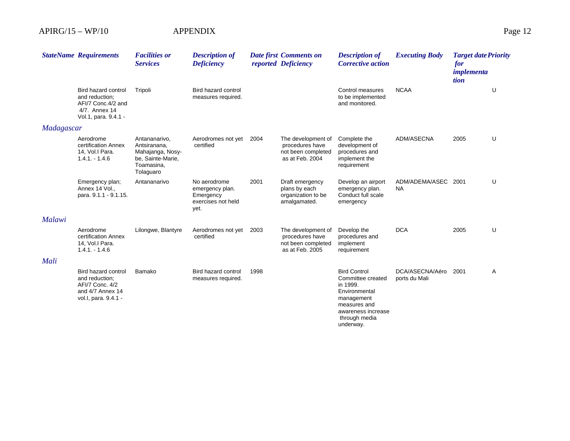|               | <b>StateName Requirements</b>                                                                        | <b>Facilities or</b><br><b>Services</b>                                                           | <b>Description of</b><br><b>Deficiency</b>                                 |      | Date first Comments on<br>reported Deficiency                                  | <b>Description of</b><br><b>Corrective action</b>                                                                                                       | <b>Executing Body</b>            | <b>Target date Priority</b><br>for<br><i>implementa</i><br>tion |   |
|---------------|------------------------------------------------------------------------------------------------------|---------------------------------------------------------------------------------------------------|----------------------------------------------------------------------------|------|--------------------------------------------------------------------------------|---------------------------------------------------------------------------------------------------------------------------------------------------------|----------------------------------|-----------------------------------------------------------------|---|
|               | Bird hazard control<br>and reduction:<br>AFI/7 Conc.4/2 and<br>4/7. Annex 14<br>Vol.1, para. 9.4.1 - | Tripoli                                                                                           | Bird hazard control<br>measures required.                                  |      |                                                                                | Control measures<br>to be implemented<br>and monitored.                                                                                                 | <b>NCAA</b>                      |                                                                 | U |
| Madagascar    |                                                                                                      |                                                                                                   |                                                                            |      |                                                                                |                                                                                                                                                         |                                  |                                                                 |   |
|               | Aerodrome<br>certification Annex<br>14, Vol.I Para.<br>$1.4.1 - 1.4.6$                               | Antananarivo,<br>Antsiranana.<br>Mahajanga, Nosy-<br>be, Sainte-Marie,<br>Toamasina,<br>Tolaguaro | Aerodromes not yet<br>certified                                            | 2004 | The development of<br>procedures have<br>not been completed<br>as at Feb. 2004 | Complete the<br>development of<br>procedures and<br>implement the<br>requirement                                                                        | ADM/ASECNA                       | 2005                                                            | U |
|               | Emergency plan;<br>Annex 14 Vol.,<br>para. 9.1.1 - 9.1.15.                                           | Antananarivo                                                                                      | No aerodrome<br>emergency plan.<br>Emergency<br>exercises not held<br>yet. | 2001 | Draft emergency<br>plans by each<br>organization to be<br>amalgamated.         | Develop an airport<br>emergency plan.<br>Conduct full scale<br>emergency                                                                                | ADM/ADEMA/ASEC 2001<br>NA        |                                                                 | U |
| <b>Malawi</b> |                                                                                                      |                                                                                                   |                                                                            |      |                                                                                |                                                                                                                                                         |                                  |                                                                 |   |
|               | Aerodrome<br>certification Annex<br>14, Vol.I Para.<br>$1.4.1 - 1.4.6$                               | Lilongwe, Blantyre                                                                                | Aerodromes not yet<br>certified                                            | 2003 | The development of<br>procedures have<br>not been completed<br>as at Feb. 2005 | Develop the<br>procedures and<br>implement<br>requirement                                                                                               | <b>DCA</b>                       | 2005                                                            | U |
| Mali          |                                                                                                      |                                                                                                   |                                                                            |      |                                                                                |                                                                                                                                                         |                                  |                                                                 |   |
|               | Bird hazard control<br>and reduction:<br>AFI/7 Conc. 4/2<br>and 4/7 Annex 14<br>vol.l, para. 9.4.1 - | Bamako                                                                                            | Bird hazard control<br>measures required.                                  | 1998 |                                                                                | <b>Bird Control</b><br>Committee created<br>in 1999.<br>Environmental<br>management<br>measures and<br>awareness increase<br>through media<br>underway. | DCA/ASECNA/Aéro<br>ports du Mali | 2001                                                            | Α |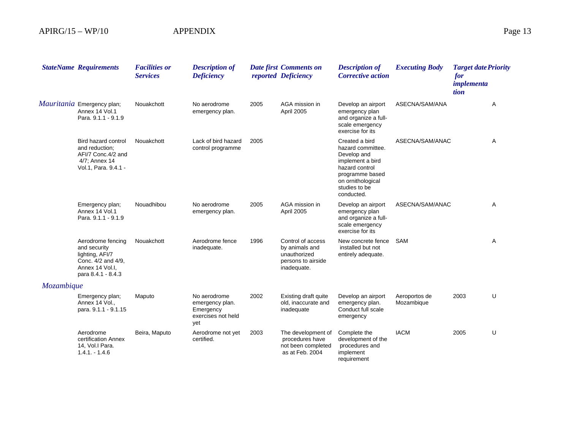|            | <b>StateName Requirements</b>                                                                                       | <b>Facilities or</b><br><b>Services</b> | <b>Description of</b><br><b>Deficiency</b>                                |      | <b>Date first Comments on</b><br>reported Deficiency                                     | <b>Description of</b><br><b>Corrective action</b>                                                                                                               | <b>Executing Body</b>       | <b>Target date Priority</b><br>for<br><i>implementa</i><br>tion |   |
|------------|---------------------------------------------------------------------------------------------------------------------|-----------------------------------------|---------------------------------------------------------------------------|------|------------------------------------------------------------------------------------------|-----------------------------------------------------------------------------------------------------------------------------------------------------------------|-----------------------------|-----------------------------------------------------------------|---|
|            | <i>Mauritania</i> Emergency plan;<br>Annex 14 Vol.1<br>Para, 9.1.1 - 9.1.9                                          | Nouakchott                              | No aerodrome<br>emergency plan.                                           | 2005 | AGA mission in<br>April 2005                                                             | Develop an airport<br>emergency plan<br>and organize a full-<br>scale emergency<br>exercise for its                                                             | ASECNA/SAM/ANA              |                                                                 | Α |
|            | Bird hazard control<br>and reduction:<br>AFI/7 Conc.4/2 and<br>4/7; Annex 14<br>Vol.1, Para. 9.4.1 -                | Nouakchott                              | Lack of bird hazard<br>control programme                                  | 2005 |                                                                                          | Created a bird<br>hazard committee.<br>Develop and<br>implement a bird<br>hazard control<br>programme based<br>on ornithological<br>studies to be<br>conducted. | ASECNA/SAM/ANAC             |                                                                 | A |
|            | Emergency plan;<br>Annex 14 Vol.1<br>Para. 9.1.1 - 9.1.9                                                            | Nouadhibou                              | No aerodrome<br>emergency plan.                                           | 2005 | AGA mission in<br>April 2005                                                             | Develop an airport<br>emergency plan<br>and organize a full-<br>scale emergency<br>exercise for its                                                             | ASECNA/SAM/ANAC             |                                                                 | Α |
|            | Aerodrome fencing<br>and security<br>lighting, AFI/7<br>Conc. 4/2 and 4/9,<br>Annex 14 Vol.I.<br>para 8.4.1 - 8.4.3 | Nouakchott                              | Aerodrome fence<br>inadequate.                                            | 1996 | Control of access<br>by animals and<br>unauthorized<br>persons to airside<br>inadequate. | New concrete fence<br>installed but not<br>entirely adequate.                                                                                                   | <b>SAM</b>                  |                                                                 | Α |
| Mozambique |                                                                                                                     |                                         |                                                                           |      |                                                                                          |                                                                                                                                                                 |                             |                                                                 |   |
|            | Emergency plan;<br>Annex 14 Vol.,<br>para. 9.1.1 - 9.1.15                                                           | Maputo                                  | No aerodrome<br>emergency plan.<br>Emergency<br>exercises not held<br>yet | 2002 | <b>Existing draft quite</b><br>old, inaccurate and<br>inadequate                         | Develop an airport<br>emergency plan.<br>Conduct full scale<br>emergency                                                                                        | Aeroportos de<br>Mozambique | 2003                                                            | U |
|            | Aerodrome<br>certification Annex<br>14, Vol.I Para.<br>$1.4.1 - 1.4.6$                                              | Beira, Maputo                           | Aerodrome not yet<br>certified.                                           | 2003 | The development of<br>procedures have<br>not been completed<br>as at Feb. 2004           | Complete the<br>development of the<br>procedures and<br>implement<br>requirement                                                                                | <b>IACM</b>                 | 2005                                                            | U |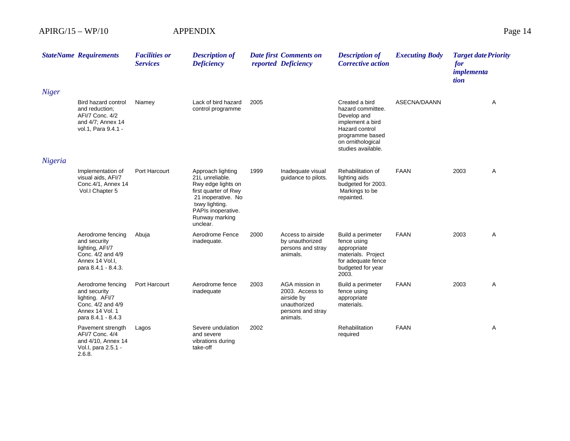|              | <b>StateName Requirements</b>                                                                                       | <b>Facilities or</b><br><b>Services</b> | <b>Description of</b><br><b>Deficiency</b>                                                                                                                                     |      | Date first Comments on<br>reported Deficiency                                                    | <b>Description of</b><br><b>Corrective action</b>                                                                                                      | <b>Executing Body</b> | <b>Target date Priority</b><br>for<br>implementa<br>tion |   |
|--------------|---------------------------------------------------------------------------------------------------------------------|-----------------------------------------|--------------------------------------------------------------------------------------------------------------------------------------------------------------------------------|------|--------------------------------------------------------------------------------------------------|--------------------------------------------------------------------------------------------------------------------------------------------------------|-----------------------|----------------------------------------------------------|---|
| <b>Niger</b> |                                                                                                                     |                                         |                                                                                                                                                                                |      |                                                                                                  |                                                                                                                                                        |                       |                                                          |   |
|              | Bird hazard control<br>and reduction;<br>AFI/7 Conc. 4/2<br>and 4/7; Annex 14<br>vol.1, Para 9.4.1 -                | Niamey                                  | Lack of bird hazard<br>control programme                                                                                                                                       | 2005 |                                                                                                  | Created a bird<br>hazard committee.<br>Develop and<br>implement a bird<br>Hazard control<br>programme based<br>on ornithological<br>studies available. | ASECNA/DAANN          |                                                          | Α |
| Nigeria      |                                                                                                                     |                                         |                                                                                                                                                                                |      |                                                                                                  |                                                                                                                                                        |                       |                                                          |   |
|              | Implementation of<br>visual aids, AFI/7<br>Conc.4/1, Annex 14<br>Vol.I Chapter 5                                    | Port Harcourt                           | Approach lighting<br>21L unreliable.<br>Rwy edge lights on<br>first quarter of Rwy<br>21 inoperative. No<br>txwy lighting.<br>PAPIs inoperative.<br>Runway marking<br>unclear. | 1999 | Inadequate visual<br>guidance to pilots.                                                         | Rehabilitation of<br>lighting aids<br>budgeted for 2003.<br>Markings to be<br>repainted.                                                               | <b>FAAN</b>           | 2003                                                     | A |
|              | Aerodrome fencing<br>and security<br>lighting, AFI/7<br>Conc. 4/2 and 4/9<br>Annex 14 Vol.I.<br>para 8.4.1 - 8.4.3. | Abuja                                   | Aerodrome Fence<br>inadequate.                                                                                                                                                 | 2000 | Access to airside<br>by unauthorized<br>persons and stray<br>animals.                            | Build a perimeter<br>fence using<br>appropriate<br>materials. Project<br>for adequate fence<br>budgeted for year<br>2003.                              | <b>FAAN</b>           | 2003                                                     | A |
|              | Aerodrome fencing<br>and security<br>lighting. AFI/7<br>Conc. 4/2 and 4/9<br>Annex 14 Vol. 1<br>para 8.4.1 - 8.4.3  | Port Harcourt                           | Aerodrome fence<br>inadequate                                                                                                                                                  | 2003 | AGA mission in<br>2003. Access to<br>airside by<br>unauthorized<br>persons and stray<br>animals. | Build a perimeter<br>fence using<br>appropriate<br>materials.                                                                                          | <b>FAAN</b>           | 2003                                                     | A |
|              | Pavement strength<br>AFI/7 Conc. 4/4<br>and 4/10, Annex 14<br>Vol.I, para 2.5.1 -<br>2.6.8.                         | Lagos                                   | Severe undulation<br>and severe<br>vibrations during<br>take-off                                                                                                               | 2002 |                                                                                                  | Rehabilitation<br>required                                                                                                                             | <b>FAAN</b>           |                                                          | Α |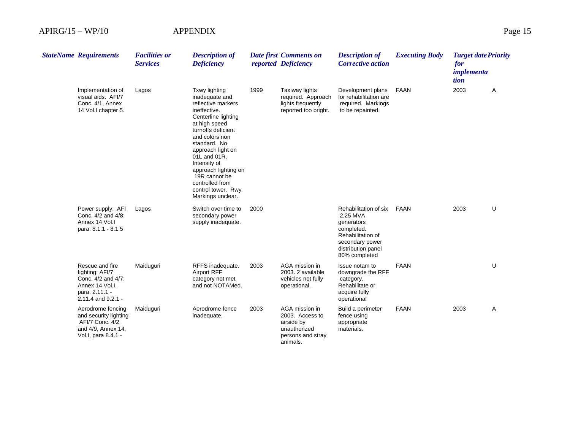| <b>StateName Requirements</b>                                                                                           | <b>Facilities or</b><br><b>Services</b> | <b>Description of</b><br><b>Deficiency</b>                                                                                                                                                                                                                                                                                        |      | Date first Comments on<br>reported Deficiency                                                    | <b>Description of</b><br><b>Corrective action</b>                                                                                            | <b>Executing Body</b> | <b>Target date Priority</b><br>for<br>implementa<br>tion |   |
|-------------------------------------------------------------------------------------------------------------------------|-----------------------------------------|-----------------------------------------------------------------------------------------------------------------------------------------------------------------------------------------------------------------------------------------------------------------------------------------------------------------------------------|------|--------------------------------------------------------------------------------------------------|----------------------------------------------------------------------------------------------------------------------------------------------|-----------------------|----------------------------------------------------------|---|
| Implementation of<br>visual aids. AFI/7<br>Conc. 4/1, Annex<br>14 Vol. chapter 5.                                       | Lagos                                   | Txwy lighting<br>inadequate and<br>reflective markers<br>ineffective.<br>Centerline lighting<br>at high speed<br>turnoffs deficient<br>and colors non<br>standard. No<br>approach light on<br>01L and 01R.<br>Intensity of<br>approach lighting on<br>19R cannot be<br>controlled from<br>control tower. Rwy<br>Markings unclear. | 1999 | <b>Taxiway lights</b><br>required. Approach<br>lights frequently<br>reported too bright.         | Development plans<br>for rehabilitation are<br>required. Markings<br>to be repainted.                                                        | <b>FAAN</b>           | 2003                                                     | A |
| Power supply; AFI<br>Conc. 4/2 and 4/8;<br>Annex 14 Vol.<br>para. 8.1.1 - 8.1.5                                         | Lagos                                   | Switch over time to<br>secondary power<br>supply inadequate.                                                                                                                                                                                                                                                                      | 2000 |                                                                                                  | Rehabilitation of six<br>2,25 MVA<br>generators<br>completed.<br>Rehabilitation of<br>secondary power<br>distribution panel<br>80% completed | <b>FAAN</b>           | 2003                                                     | U |
| Rescue and fire<br>fighting; AFI/7<br>Conc. 4/2 and 4/7;<br>Annex 14 Vol.I.<br>para. 2.11.1 -<br>$2.11.4$ and $9.2.1 -$ | Maiduguri                               | RFFS inadequate.<br><b>Airport RFF</b><br>category not met<br>and not NOTAMed.                                                                                                                                                                                                                                                    | 2003 | AGA mission in<br>2003. 2 available<br>vehicles not fully<br>operational.                        | Issue notam to<br>downgrade the RFF<br>category.<br>Rehabilitate or<br>acquire fully<br>operational                                          | <b>FAAN</b>           |                                                          | U |
| Aerodrome fencing<br>and security lighting<br>AFI/7 Conc. 4/2<br>and 4/9, Annex 14,<br>Vol.I, para 8.4.1 -              | Maiduguri                               | Aerodrome fence<br>inadequate.                                                                                                                                                                                                                                                                                                    | 2003 | AGA mission in<br>2003. Access to<br>airside by<br>unauthorized<br>persons and stray<br>animals. | Build a perimeter<br>fence using<br>appropriate<br>materials.                                                                                | <b>FAAN</b>           | 2003                                                     | Α |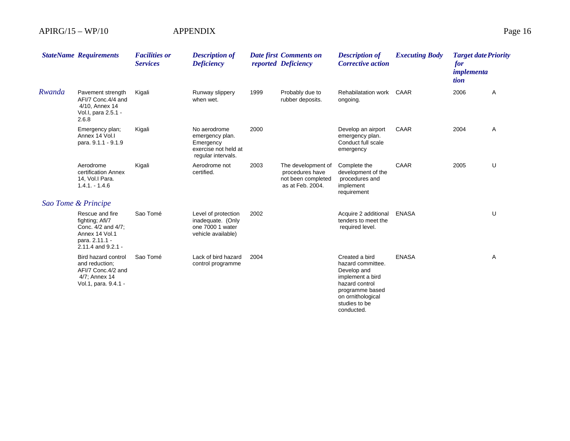|        | <b>StateName Requirements</b>                                                                                      | <b>Facilities or</b><br><b>Services</b> | <b>Description of</b><br><b>Deficiency</b>                                                 |      | <b>Date first Comments on</b><br>reported Deficiency                            | <b>Description of</b><br><b>Corrective action</b>                                                                                                               | <b>Executing Body</b> | <b>Target date Priority</b><br>for<br><i>implementa</i><br>tion |   |
|--------|--------------------------------------------------------------------------------------------------------------------|-----------------------------------------|--------------------------------------------------------------------------------------------|------|---------------------------------------------------------------------------------|-----------------------------------------------------------------------------------------------------------------------------------------------------------------|-----------------------|-----------------------------------------------------------------|---|
| Rwanda | Pavement strength<br>AFI/7 Conc.4/4 and<br>4/10, Annex 14<br>Vol.I, para 2.5.1 -<br>2.6.8                          | Kigali                                  | Runway slippery<br>when wet.                                                               | 1999 | Probably due to<br>rubber deposits.                                             | Rehabilatation work<br>ongoing.                                                                                                                                 | CAAR                  | 2006                                                            | Α |
|        | Emergency plan;<br>Annex 14 Vol.I<br>para. 9.1.1 - 9.1.9                                                           | Kigali                                  | No aerodrome<br>emergency plan.<br>Emergency<br>exercise not held at<br>regular intervals. | 2000 |                                                                                 | Develop an airport<br>emergency plan.<br>Conduct full scale<br>emergency                                                                                        | CAAR                  | 2004                                                            | Α |
|        | Aerodrome<br>certification Annex<br>14, Vol.I Para.<br>$1.4.1 - 1.4.6$                                             | Kigali                                  | Aerodrome not<br>certified.                                                                | 2003 | The development of<br>procedures have<br>not been completed<br>as at Feb. 2004. | Complete the<br>development of the<br>procedures and<br>implement<br>requirement                                                                                | CAAR                  | 2005                                                            | U |
|        | Sao Tome & Principe                                                                                                |                                         |                                                                                            |      |                                                                                 |                                                                                                                                                                 |                       |                                                                 |   |
|        | Rescue and fire<br>fighting; Afi/7<br>Conc. 4/2 and 4/7;<br>Annex 14 Vol.1<br>para. 2.11.1 -<br>2.11.4 and 9.2.1 - | Sao Tomé                                | Level of protection<br>inadequate. (Only<br>one 7000 1 water<br>vehicle available)         | 2002 |                                                                                 | Acquire 2 additional<br>tenders to meet the<br>required level.                                                                                                  | <b>ENASA</b>          |                                                                 | U |
|        | Bird hazard control<br>and reduction:<br>AFI/7 Conc.4/2 and<br>4/7; Annex 14<br>Vol.1, para. 9.4.1 -               | Sao Tomé                                | Lack of bird hazard<br>control programme                                                   | 2004 |                                                                                 | Created a bird<br>hazard committee.<br>Develop and<br>implement a bird<br>hazard control<br>programme based<br>on ornithological<br>studies to be<br>conducted. | <b>ENASA</b>          |                                                                 | Α |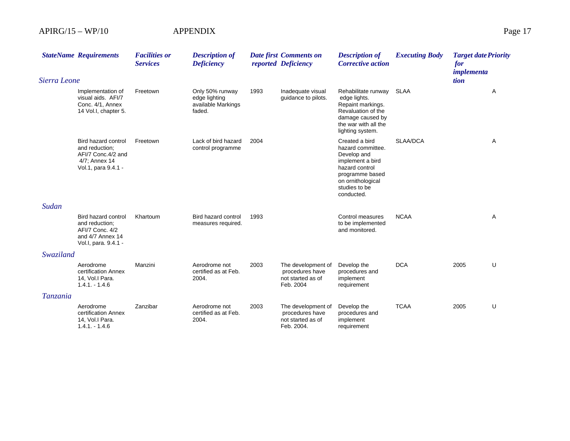|              | <b>StateName Requirements</b>                                                                        | <b>Facilities or</b><br><b>Services</b> | <b>Description of</b><br><b>Deficiency</b>                       |      | Date first Comments on<br>reported Deficiency                            | <b>Description of</b><br><b>Corrective action</b>                                                                                                               | <b>Executing Body</b> | <b>Target date Priority</b><br>for<br>implementa |   |
|--------------|------------------------------------------------------------------------------------------------------|-----------------------------------------|------------------------------------------------------------------|------|--------------------------------------------------------------------------|-----------------------------------------------------------------------------------------------------------------------------------------------------------------|-----------------------|--------------------------------------------------|---|
| Sierra Leone |                                                                                                      |                                         |                                                                  |      |                                                                          |                                                                                                                                                                 |                       | tion                                             |   |
|              | Implementation of<br>visual aids. AFI/7<br>Conc. 4/1, Annex<br>14 Vol.I, chapter 5.                  | Freetown                                | Only 50% runway<br>edge lighting<br>available Markings<br>faded. | 1993 | Inadequate visual<br>guidance to pilots.                                 | Rehabilitate runway<br>edge lights.<br>Repaint markings.<br>Revaluation of the<br>damage caused by<br>the war with all the<br>lighting system.                  | SLAA                  |                                                  | Α |
|              | Bird hazard control<br>and reduction;<br>AFI/7 Conc.4/2 and<br>4/7; Annex 14<br>Vol.1, para 9.4.1 -  | Freetown                                | Lack of bird hazard<br>control programme                         | 2004 |                                                                          | Created a bird<br>hazard committee.<br>Develop and<br>implement a bird<br>hazard control<br>programme based<br>on ornithological<br>studies to be<br>conducted. | SLAA/DCA              |                                                  | Α |
| Sudan        |                                                                                                      |                                         |                                                                  |      |                                                                          |                                                                                                                                                                 |                       |                                                  |   |
|              | Bird hazard control<br>and reduction:<br>AFI/7 Conc. 4/2<br>and 4/7 Annex 14<br>Vol.I, para. 9.4.1 - | Khartoum                                | Bird hazard control<br>measures required.                        | 1993 |                                                                          | Control measures<br>to be implemented<br>and monitored.                                                                                                         | <b>NCAA</b>           |                                                  | Α |
| Swaziland    |                                                                                                      |                                         |                                                                  |      |                                                                          |                                                                                                                                                                 |                       |                                                  |   |
|              | Aerodrome<br>certification Annex<br>14, Vol.I Para.<br>$1.4.1 - 1.4.6$                               | Manzini                                 | Aerodrome not<br>certified as at Feb.<br>2004.                   | 2003 | The development of<br>procedures have<br>not started as of<br>Feb. 2004  | Develop the<br>procedures and<br>implement<br>requirement                                                                                                       | <b>DCA</b>            | 2005                                             | U |
| Tanzania     |                                                                                                      |                                         |                                                                  |      |                                                                          |                                                                                                                                                                 |                       |                                                  |   |
|              | Aerodrome<br>certification Annex<br>14, Vol.I Para.<br>$1.4.1 - 1.4.6$                               | Zanzibar                                | Aerodrome not<br>certified as at Feb.<br>2004.                   | 2003 | The development of<br>procedures have<br>not started as of<br>Feb. 2004. | Develop the<br>procedures and<br>implement<br>requirement                                                                                                       | <b>TCAA</b>           | 2005                                             | U |